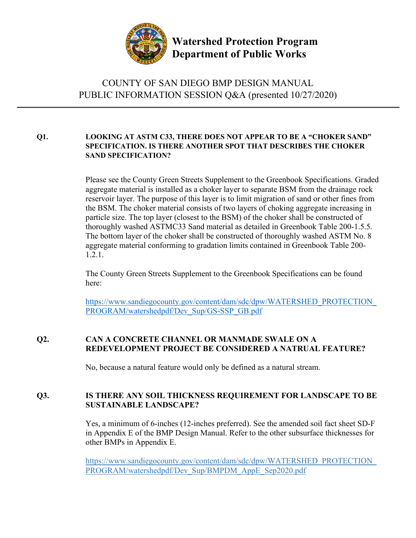

**Watershed Protection Program Department of Public Works**

# COUNTY OF SAN DIEGO BMP DESIGN MANUAL PUBLIC INFORMATION SESSION Q&A (presented 10/27/2020)

# **Q1. LOOKING AT ASTM C33, THERE DOES NOT APPEAR TO BE A "CHOKER SAND" SPECIFICATION. IS THERE ANOTHER SPOT THAT DESCRIBES THE CHOKER SAND SPECIFICATION?**

Please see the County Green Streets Supplement to the Greenbook Specifications. Graded aggregate material is installed as a choker layer to separate BSM from the drainage rock reservoir layer. The purpose of this layer is to limit migration of sand or other fines from the BSM. The choker material consists of two layers of choking aggregate increasing in particle size. The top layer (closest to the BSM) of the choker shall be constructed of thoroughly washed ASTMC33 Sand material as detailed in Greenbook Table 200-1.5.5. The bottom layer of the choker shall be constructed of thoroughly washed ASTM No. 8 aggregate material conforming to gradation limits contained in Greenbook Table 200- 1.2.1.

The County Green Streets Supplement to the Greenbook Specifications can be found here:

[https://www.sandiegocounty.gov/content/dam/sdc/dpw/WATERSHED\\_PROTECTION\\_](https://www.sandiegocounty.gov/content/dam/sdc/dpw/WATERSHED_PROTECTION_PROGRAM/watershedpdf/Dev_Sup/GS-SSP_GB.pdf) [PROGRAM/watershedpdf/Dev\\_Sup/GS-SSP\\_GB.pdf](https://www.sandiegocounty.gov/content/dam/sdc/dpw/WATERSHED_PROTECTION_PROGRAM/watershedpdf/Dev_Sup/GS-SSP_GB.pdf)

# **Q2. CAN A CONCRETE CHANNEL OR MANMADE SWALE ON A REDEVELOPMENT PROJECT BE CONSIDERED A NATRUAL FEATURE?**

No, because a natural feature would only be defined as a natural stream.

# **Q3. IS THERE ANY SOIL THICKNESS REQUIREMENT FOR LANDSCAPE TO BE SUSTAINABLE LANDSCAPE?**

Yes, a minimum of 6-inches (12-inches preferred). See the amended soil fact sheet SD-F in Appendix E of the BMP Design Manual. Refer to the other subsurface thicknesses for other BMPs in Appendix E.

[https://www.sandiegocounty.gov/content/dam/sdc/dpw/WATERSHED\\_PROTECTION\\_](https://www.sandiegocounty.gov/content/dam/sdc/dpw/WATERSHED_PROTECTION_PROGRAM/watershedpdf/Dev_Sup/BMPDM_AppE_Sep2020.pdf) [PROGRAM/watershedpdf/Dev\\_Sup/BMPDM\\_AppE\\_Sep2020.pdf](https://www.sandiegocounty.gov/content/dam/sdc/dpw/WATERSHED_PROTECTION_PROGRAM/watershedpdf/Dev_Sup/BMPDM_AppE_Sep2020.pdf)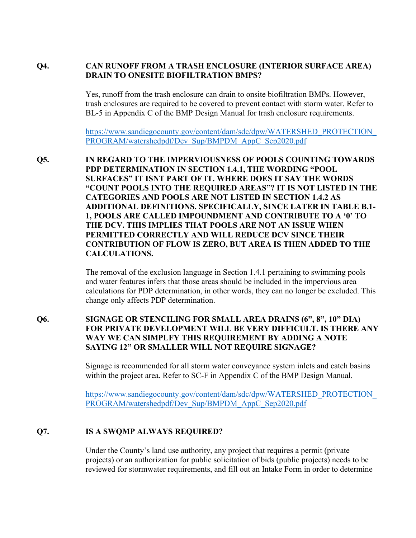#### **Q4. CAN RUNOFF FROM A TRASH ENCLOSURE (INTERIOR SURFACE AREA) DRAIN TO ONESITE BIOFILTRATION BMPS?**

Yes, runoff from the trash enclosure can drain to onsite biofiltration BMPs. However, trash enclosures are required to be covered to prevent contact with storm water. Refer to BL-5 in Appendix C of the BMP Design Manual for trash enclosure requirements.

[https://www.sandiegocounty.gov/content/dam/sdc/dpw/WATERSHED\\_PROTECTION\\_](https://www.sandiegocounty.gov/content/dam/sdc/dpw/WATERSHED_PROTECTION_PROGRAM/watershedpdf/Dev_Sup/BMPDM_AppC_Sep2020.pdf) [PROGRAM/watershedpdf/Dev\\_Sup/BMPDM\\_AppC\\_Sep2020.pdf](https://www.sandiegocounty.gov/content/dam/sdc/dpw/WATERSHED_PROTECTION_PROGRAM/watershedpdf/Dev_Sup/BMPDM_AppC_Sep2020.pdf)

**Q5. IN REGARD TO THE IMPERVIOUSNESS OF POOLS COUNTING TOWARDS PDP DETERMINATION IN SECTION 1.4.1, THE WORDING "POOL SURFACES" IT ISNT PART OF IT. WHERE DOES IT SAY THE WORDS "COUNT POOLS INTO THE REQUIRED AREAS"? IT IS NOT LISTED IN THE CATEGORIES AND POOLS ARE NOT LISTED IN SECTION 1.4.2 AS ADDITIONAL DEFINITIONS. SPECIFICALLY, SINCE LATER IN TABLE B.1- 1, POOLS ARE CALLED IMPOUNDMENT AND CONTRIBUTE TO A '0' TO THE DCV. THIS IMPLIES THAT POOLS ARE NOT AN ISSUE WHEN PERMITTED CORRECTLY AND WILL REDUCE DCV SINCE THEIR CONTRIBUTION OF FLOW IS ZERO, BUT AREA IS THEN ADDED TO THE CALCULATIONS.** 

> The removal of the exclusion language in Section 1.4.1 pertaining to swimming pools and water features infers that those areas should be included in the impervious area calculations for PDP determination, in other words, they can no longer be excluded. This change only affects PDP determination.

**Q6. SIGNAGE OR STENCILING FOR SMALL AREA DRAINS (6", 8", 10" DIA) FOR PRIVATE DEVELOPMENT WILL BE VERY DIFFICULT. IS THERE ANY WAY WE CAN SIMPLFY THIS REQUIREMENT BY ADDING A NOTE SAYING 12" OR SMALLER WILL NOT REQUIRE SIGNAGE?**

> Signage is recommended for all storm water conveyance system inlets and catch basins within the project area. Refer to SC-F in Appendix C of the BMP Design Manual.

[https://www.sandiegocounty.gov/content/dam/sdc/dpw/WATERSHED\\_PROTECTION\\_](https://www.sandiegocounty.gov/content/dam/sdc/dpw/WATERSHED_PROTECTION_PROGRAM/watershedpdf/Dev_Sup/BMPDM_AppC_Sep2020.pdf) [PROGRAM/watershedpdf/Dev\\_Sup/BMPDM\\_AppC\\_Sep2020.pdf](https://www.sandiegocounty.gov/content/dam/sdc/dpw/WATERSHED_PROTECTION_PROGRAM/watershedpdf/Dev_Sup/BMPDM_AppC_Sep2020.pdf)

#### **Q7. IS A SWQMP ALWAYS REQUIRED?**

Under the County's land use authority, any project that requires a permit (private projects) or an authorization for public solicitation of bids (public projects) needs to be reviewed for stormwater requirements, and fill out an Intake Form in order to determine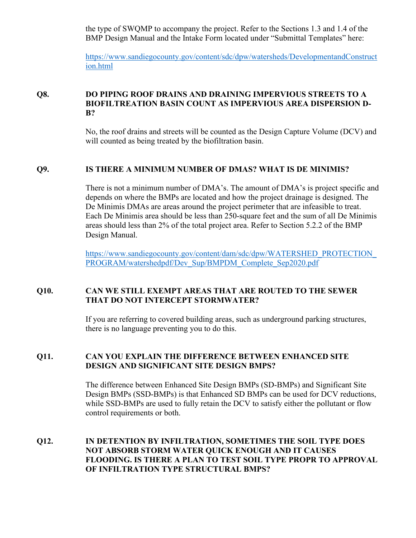the type of SWQMP to accompany the project. Refer to the Sections 1.3 and 1.4 of the BMP Design Manual and the Intake Form located under "Submittal Templates" here:

[https://www.sandiegocounty.gov/content/sdc/dpw/watersheds/DevelopmentandConstruct](https://www.sandiegocounty.gov/content/sdc/dpw/watersheds/DevelopmentandConstruction.html) [ion.html](https://www.sandiegocounty.gov/content/sdc/dpw/watersheds/DevelopmentandConstruction.html)

# **Q8. DO PIPING ROOF DRAINS AND DRAINING IMPERVIOUS STREETS TO A BIOFILTREATION BASIN COUNT AS IMPERVIOUS AREA DISPERSION D-B?**

No, the roof drains and streets will be counted as the Design Capture Volume (DCV) and will counted as being treated by the biofiltration basin.

# **Q9. IS THERE A MINIMUM NUMBER OF DMAS? WHAT IS DE MINIMIS?**

There is not a minimum number of DMA's. The amount of DMA's is project specific and depends on where the BMPs are located and how the project drainage is designed. The De Minimis DMAs are areas around the project perimeter that are infeasible to treat. Each De Minimis area should be less than 250-square feet and the sum of all De Minimis areas should less than 2% of the total project area. Refer to Section 5.2.2 of the BMP Design Manual.

[https://www.sandiegocounty.gov/content/dam/sdc/dpw/WATERSHED\\_PROTECTION\\_](https://www.sandiegocounty.gov/content/dam/sdc/dpw/WATERSHED_PROTECTION_PROGRAM/watershedpdf/Dev_Sup/BMPDM_Complete_Sep2020.pdf) [PROGRAM/watershedpdf/Dev\\_Sup/BMPDM\\_Complete\\_Sep2020.pdf](https://www.sandiegocounty.gov/content/dam/sdc/dpw/WATERSHED_PROTECTION_PROGRAM/watershedpdf/Dev_Sup/BMPDM_Complete_Sep2020.pdf)

# **Q10. CAN WE STILL EXEMPT AREAS THAT ARE ROUTED TO THE SEWER THAT DO NOT INTERCEPT STORMWATER?**

If you are referring to covered building areas, such as underground parking structures, there is no language preventing you to do this.

# **Q11. CAN YOU EXPLAIN THE DIFFERENCE BETWEEN ENHANCED SITE DESIGN AND SIGNIFICANT SITE DESIGN BMPS?**

The difference between Enhanced Site Design BMPs (SD-BMPs) and Significant Site Design BMPs (SSD-BMPs) is that Enhanced SD BMPs can be used for DCV reductions, while SSD-BMPs are used to fully retain the DCV to satisfy either the pollutant or flow control requirements or both.

## **Q12. IN DETENTION BY INFILTRATION, SOMETIMES THE SOIL TYPE DOES NOT ABSORB STORM WATER QUICK ENOUGH AND IT CAUSES FLOODING. IS THERE A PLAN TO TEST SOIL TYPE PROPR TO APPROVAL OF INFILTRATION TYPE STRUCTURAL BMPS?**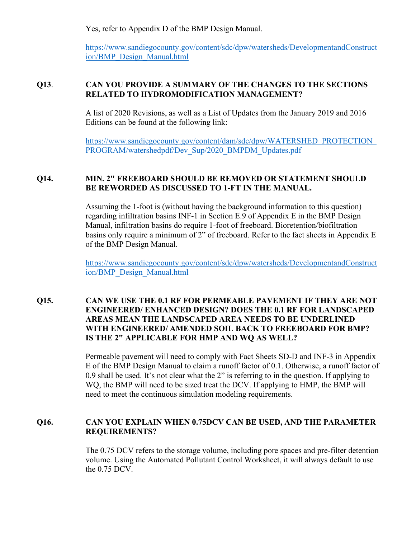Yes, refer to Appendix D of the BMP Design Manual.

[https://www.sandiegocounty.gov/content/sdc/dpw/watersheds/DevelopmentandConstruct](https://www.sandiegocounty.gov/content/sdc/dpw/watersheds/DevelopmentandConstruction/BMP_Design_Manual.html) [ion/BMP\\_Design\\_Manual.html](https://www.sandiegocounty.gov/content/sdc/dpw/watersheds/DevelopmentandConstruction/BMP_Design_Manual.html)

#### **Q13**. **CAN YOU PROVIDE A SUMMARY OF THE CHANGES TO THE SECTIONS RELATED TO HYDROMODIFICATION MANAGEMENT?**

A list of 2020 Revisions, as well as a List of Updates from the January 2019 and 2016 Editions can be found at the following link:

[https://www.sandiegocounty.gov/content/dam/sdc/dpw/WATERSHED\\_PROTECTION\\_](https://www.sandiegocounty.gov/content/dam/sdc/dpw/WATERSHED_PROTECTION_PROGRAM/watershedpdf/Dev_Sup/2020_BMPDM_Updates.pdf) [PROGRAM/watershedpdf/Dev\\_Sup/2020\\_BMPDM\\_Updates.pdf](https://www.sandiegocounty.gov/content/dam/sdc/dpw/WATERSHED_PROTECTION_PROGRAM/watershedpdf/Dev_Sup/2020_BMPDM_Updates.pdf)

#### **Q14. MIN. 2" FREEBOARD SHOULD BE REMOVED OR STATEMENT SHOULD BE REWORDED AS DISCUSSED TO 1-FT IN THE MANUAL.**

Assuming the 1-foot is (without having the background information to this question) regarding infiltration basins INF-1 in Section E.9 of Appendix E in the BMP Design Manual, infiltration basins do require 1-foot of freeboard. Bioretention/biofiltration basins only require a minimum of 2" of freeboard. Refer to the fact sheets in Appendix E of the BMP Design Manual.

[https://www.sandiegocounty.gov/content/sdc/dpw/watersheds/DevelopmentandConstruct](https://www.sandiegocounty.gov/content/sdc/dpw/watersheds/DevelopmentandConstruction/BMP_Design_Manual.html) [ion/BMP\\_Design\\_Manual.html](https://www.sandiegocounty.gov/content/sdc/dpw/watersheds/DevelopmentandConstruction/BMP_Design_Manual.html)

# **Q15. CAN WE USE THE 0.1 RF FOR PERMEABLE PAVEMENT IF THEY ARE NOT ENGINEERED/ ENHANCED DESIGN? DOES THE 0.1 RF FOR LANDSCAPED AREAS MEAN THE LANDSCAPED AREA NEEDS TO BE UNDERLINED WITH ENGINEERED/ AMENDED SOIL BACK TO FREEBOARD FOR BMP? IS THE 2" APPLICABLE FOR HMP AND WQ AS WELL?**

Permeable pavement will need to comply with Fact Sheets SD-D and INF-3 in Appendix E of the BMP Design Manual to claim a runoff factor of 0.1. Otherwise, a runoff factor of 0.9 shall be used. It's not clear what the 2" is referring to in the question. If applying to WQ, the BMP will need to be sized treat the DCV. If applying to HMP, the BMP will need to meet the continuous simulation modeling requirements.

# **Q16. CAN YOU EXPLAIN WHEN 0.75DCV CAN BE USED, AND THE PARAMETER REQUIREMENTS?**

The 0.75 DCV refers to the storage volume, including pore spaces and pre-filter detention volume. Using the Automated Pollutant Control Worksheet, it will always default to use the 0.75 DCV.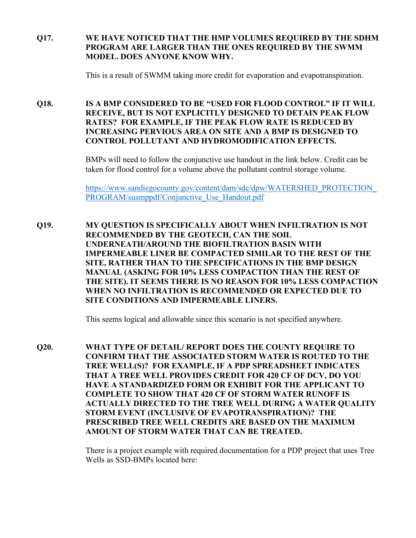# **Q17. WE HAVE NOTICED THAT THE HMP VOLUMES REQUIRED BY THE SDHM PROGRAM ARE LARGER THAN THE ONES REQUIRED BY THE SWMM MODEL. DOES ANYONE KNOW WHY.**

This is a result of SWMM taking more credit for evaporation and evapotranspiration.

**Q18. IS A BMP CONSIDERED TO BE "USED FOR FLOOD CONTROL" IF IT WILL RECEIVE, BUT IS NOT EXPLICITLY DESIGNED TO DETAIN PEAK FLOW RATES? FOR EXAMPLE, IF THE PEAK FLOW RATE IS REDUCED BY INCREASING PERVIOUS AREA ON SITE AND A BMP IS DESIGNED TO CONTROL POLLUTANT AND HYDROMODIFICATION EFFECTS.**

> BMPs will need to follow the conjunctive use handout in the link below. Credit can be taken for flood control for a volume above the pollutant control storage volume.

[https://www.sandiegocounty.gov/content/dam/sdc/dpw/WATERSHED\\_PROTECTION\\_](https://www.sandiegocounty.gov/content/dam/sdc/dpw/WATERSHED_PROTECTION_PROGRAM/susmppdf/Conjunctive_Use_Handout.pdf) PROGRAM/susmppdf/Conjunctive Use Handout.pdf

**Q19. MY QUESTION IS SPECIFICALLY ABOUT WHEN INFILTRATION IS NOT RECOMMENDED BY THE GEOTECH, CAN THE SOIL UNDERNEATH/AROUND THE BIOFILTRATION BASIN WITH IMPERMEABLE LINER BE COMPACTED SIMILAR TO THE REST OF THE SITE, RATHER THAN TO THE SPECIFICATIONS IN THE BMP DESIGN MANUAL (ASKING FOR 10% LESS COMPACTION THAN THE REST OF THE SITE). IT SEEMS THERE IS NO REASON FOR 10% LESS COMPACTION WHEN NO INFILTRATION IS RECOMMENDED OR EXPECTED DUE TO SITE CONDITIONS AND IMPERMEABLE LINERS.**

This seems logical and allowable since this scenario is not specified anywhere.

**Q20. WHAT TYPE OF DETAIL/ REPORT DOES THE COUNTY REQUIRE TO CONFIRM THAT THE ASSOCIATED STORM WATER IS ROUTED TO THE TREE WELL(S)? FOR EXAMPLE, IF A PDP SPREADSHEET INDICATES THAT A TREE WELL PROVIDES CREDIT FOR 420 CF OF DCV, DO YOU HAVE A STANDARDIZED FORM OR EXHIBIT FOR THE APPLICANT TO COMPLETE TO SHOW THAT 420 CF OF STORM WATER RUNOFF IS ACTUALLY DIRECTED TO THE TREE WELL DURING A WATER QUALITY STORM EVENT (INCLUSIVE OF EVAPOTRANSPIRATION)? THE PRESCRIBED TREE WELL CREDITS ARE BASED ON THE MAXIMUM AMOUNT OF STORM WATER THAT CAN BE TREATED.**

> There is a project example with required documentation for a PDP project that uses Tree Wells as SSD-BMPs located here: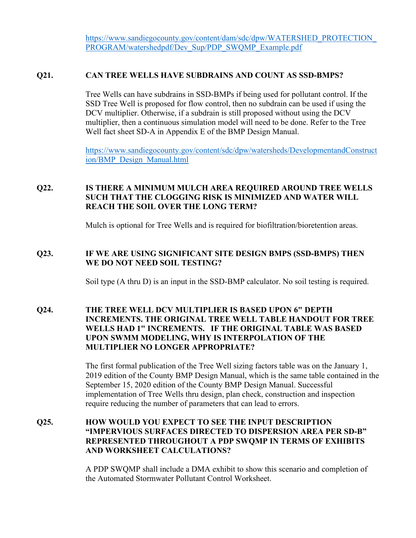[https://www.sandiegocounty.gov/content/dam/sdc/dpw/WATERSHED\\_PROTECTION\\_](https://www.sandiegocounty.gov/content/dam/sdc/dpw/WATERSHED_PROTECTION_PROGRAM/watershedpdf/Dev_Sup/PDP_SWQMP_Example.pdf) PROGRAM/watershedpdf/Dev\_Sup/PDP\_SWQMP\_Example.pdf

#### **Q21. CAN TREE WELLS HAVE SUBDRAINS AND COUNT AS SSD-BMPS?**

Tree Wells can have subdrains in SSD-BMPs if being used for pollutant control. If the SSD Tree Well is proposed for flow control, then no subdrain can be used if using the DCV multiplier. Otherwise, if a subdrain is still proposed without using the DCV multiplier, then a continuous simulation model will need to be done. Refer to the Tree Well fact sheet SD-A in Appendix E of the BMP Design Manual.

[https://www.sandiegocounty.gov/content/sdc/dpw/watersheds/DevelopmentandConstruct](https://www.sandiegocounty.gov/content/sdc/dpw/watersheds/DevelopmentandConstruction/BMP_Design_Manual.html) [ion/BMP\\_Design\\_Manual.html](https://www.sandiegocounty.gov/content/sdc/dpw/watersheds/DevelopmentandConstruction/BMP_Design_Manual.html)

# **Q22. IS THERE A MINIMUM MULCH AREA REQUIRED AROUND TREE WELLS SUCH THAT THE CLOGGING RISK IS MINIMIZED AND WATER WILL REACH THE SOIL OVER THE LONG TERM?**

Mulch is optional for Tree Wells and is required for biofiltration/bioretention areas.

#### **Q23. IF WE ARE USING SIGNIFICANT SITE DESIGN BMPS (SSD-BMPS) THEN WE DO NOT NEED SOIL TESTING?**

Soil type (A thru D) is an input in the SSD-BMP calculator. No soil testing is required.

## **Q24. THE TREE WELL DCV MULTIPLIER IS BASED UPON 6" DEPTH INCREMENTS. THE ORIGINAL TREE WELL TABLE HANDOUT FOR TREE WELLS HAD 1" INCREMENTS. IF THE ORIGINAL TABLE WAS BASED UPON SWMM MODELING, WHY IS INTERPOLATION OF THE MULTIPLIER NO LONGER APPROPRIATE?**

The first formal publication of the Tree Well sizing factors table was on the January 1, 2019 edition of the County BMP Design Manual, which is the same table contained in the September 15, 2020 edition of the County BMP Design Manual. Successful implementation of Tree Wells thru design, plan check, construction and inspection require reducing the number of parameters that can lead to errors.

# **Q25. HOW WOULD YOU EXPECT TO SEE THE INPUT DESCRIPTION "IMPERVIOUS SURFACES DIRECTED TO DISPERSION AREA PER SD-B" REPRESENTED THROUGHOUT A PDP SWQMP IN TERMS OF EXHIBITS AND WORKSHEET CALCULATIONS?**

A PDP SWQMP shall include a DMA exhibit to show this scenario and completion of the Automated Stormwater Pollutant Control Worksheet.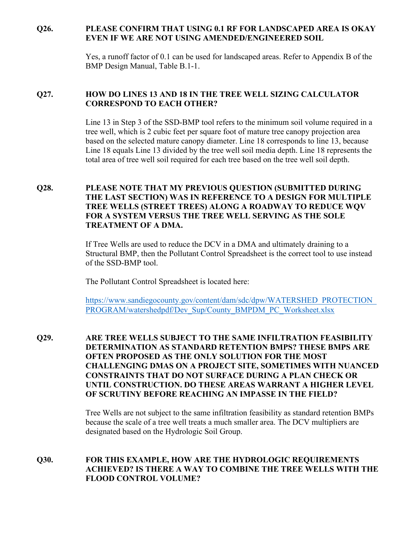# **Q26. PLEASE CONFIRM THAT USING 0.1 RF FOR LANDSCAPED AREA IS OKAY EVEN IF WE ARE NOT USING AMENDED/ENGINEERED SOIL**

Yes, a runoff factor of 0.1 can be used for landscaped areas. Refer to Appendix B of the BMP Design Manual, Table B.1-1.

# **Q27. HOW DO LINES 13 AND 18 IN THE TREE WELL SIZING CALCULATOR CORRESPOND TO EACH OTHER?**

Line 13 in Step 3 of the SSD-BMP tool refers to the minimum soil volume required in a tree well, which is 2 cubic feet per square foot of mature tree canopy projection area based on the selected mature canopy diameter. Line 18 corresponds to line 13, because Line 18 equals Line 13 divided by the tree well soil media depth. Line 18 represents the total area of tree well soil required for each tree based on the tree well soil depth.

# **Q28. PLEASE NOTE THAT MY PREVIOUS QUESTION (SUBMITTED DURING THE LAST SECTION) WAS IN REFERENCE TO A DESIGN FOR MULTIPLE TREE WELLS (STREET TREES) ALONG A ROADWAY TO REDUCE WQV FOR A SYSTEM VERSUS THE TREE WELL SERVING AS THE SOLE TREATMENT OF A DMA.**

If Tree Wells are used to reduce the DCV in a DMA and ultimately draining to a Structural BMP, then the Pollutant Control Spreadsheet is the correct tool to use instead of the SSD-BMP tool.

The Pollutant Control Spreadsheet is located here:

[https://www.sandiegocounty.gov/content/dam/sdc/dpw/WATERSHED\\_PROTECTION\\_](https://www.sandiegocounty.gov/content/dam/sdc/dpw/WATERSHED_PROTECTION_PROGRAM/watershedpdf/Dev_Sup/County_BMPDM_PC_Worksheet.xlsx) [PROGRAM/watershedpdf/Dev\\_Sup/County\\_BMPDM\\_PC\\_Worksheet.xlsx](https://www.sandiegocounty.gov/content/dam/sdc/dpw/WATERSHED_PROTECTION_PROGRAM/watershedpdf/Dev_Sup/County_BMPDM_PC_Worksheet.xlsx)

**Q29. ARE TREE WELLS SUBJECT TO THE SAME INFILTRATION FEASIBILITY DETERMINATION AS STANDARD RETENTION BMPS? THESE BMPS ARE OFTEN PROPOSED AS THE ONLY SOLUTION FOR THE MOST CHALLENGING DMAS ON A PROJECT SITE, SOMETIMES WITH NUANCED CONSTRAINTS THAT DO NOT SURFACE DURING A PLAN CHECK OR UNTIL CONSTRUCTION. DO THESE AREAS WARRANT A HIGHER LEVEL OF SCRUTINY BEFORE REACHING AN IMPASSE IN THE FIELD?**

> Tree Wells are not subject to the same infiltration feasibility as standard retention BMPs because the scale of a tree well treats a much smaller area. The DCV multipliers are designated based on the Hydrologic Soil Group.

#### **Q30. FOR THIS EXAMPLE, HOW ARE THE HYDROLOGIC REQUIREMENTS ACHIEVED? IS THERE A WAY TO COMBINE THE TREE WELLS WITH THE FLOOD CONTROL VOLUME?**